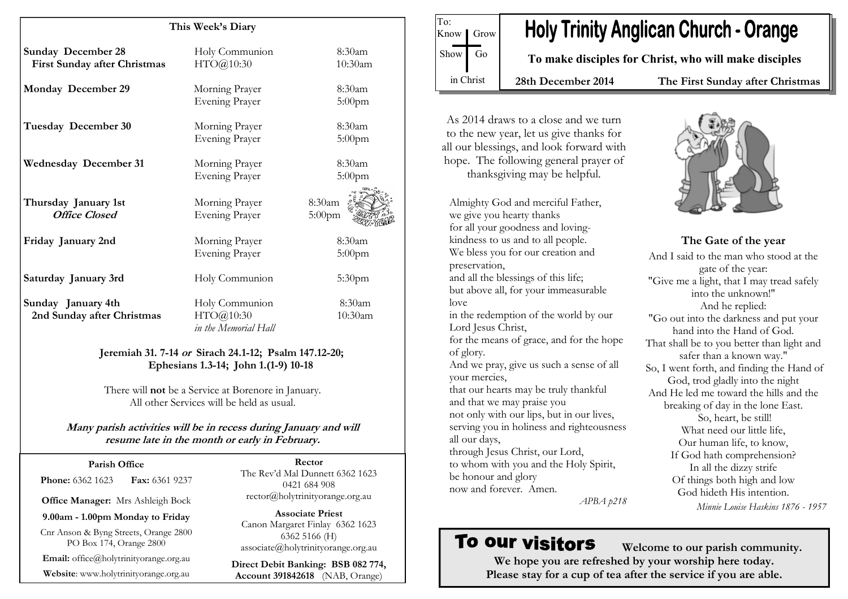| This Week's Diary                                                |                                                                                                  |           |
|------------------------------------------------------------------|--------------------------------------------------------------------------------------------------|-----------|
| <b>Sunday December 28</b>                                        | Holy Communion                                                                                   | 8:30am    |
| <b>First Sunday after Christmas</b>                              | HTO@10:30                                                                                        | 10:30am   |
| <b>Monday December 29</b>                                        | Morning Prayer                                                                                   | 8:30am    |
|                                                                  | <b>Evening Prayer</b>                                                                            | $5:00$ pm |
| Tuesday December 30                                              | Morning Prayer                                                                                   | 8:30am    |
|                                                                  | <b>Evening Prayer</b>                                                                            | $5:00$ pm |
|                                                                  |                                                                                                  |           |
| <b>Wednesday December 31</b>                                     | Morning Prayer                                                                                   | 8:30am    |
|                                                                  | <b>Evening Prayer</b>                                                                            | $5:00$ pm |
| Thursday January 1st                                             | Morning Prayer                                                                                   | 8:30am    |
| <b>Office Closed</b>                                             | Evening Prayer                                                                                   | $5:00$ pm |
| Friday January 2nd                                               | Morning Prayer                                                                                   | 8:30am    |
|                                                                  | <b>Evening Prayer</b>                                                                            | $5:00$ pm |
| Saturday January 3rd                                             | Holy Communion                                                                                   | $5:30$ pm |
| Sunday January 4th                                               | Holy Communion                                                                                   | 8:30am    |
| 2nd Sunday after Christmas                                       | HTO@10:30<br>in the Memorial Hall                                                                | 10:30am   |
|                                                                  | Jeremiah 31. 7-14 or Sirach 24.1-12; Psalm 147.12-20;<br>Ephesians 1.3-14; John 1.(1-9) 10-18    |           |
|                                                                  | There will not be a Service at Borenore in January.<br>All other Services will be held as usual. |           |
| Many parish activities will be in recess during January and will | resume late in the month or early in February.                                                   |           |

#### Parish Office

**Phone: 6362 1623 Fax: 6361 9237** 

Office Manager: Mrs Ashleigh Bock

9.00am - 1.00pm Monday to Friday

Cnr Anson & Byng Streets, Orange 2800 PO Box 174, Orange 2800

Email: office@holytrinityorange.org.au

Website: www.holytrinityorange.org.au

Rector The Rev'd Mal Dunnett 6362 1623 0421 684 908 rector@holytrinityorange.org.au

Associate Priest Canon Margaret Finlay 6362 1623 6362 5166 (H) associate@holytrinityorange.org.au

Direct Debit Banking: BSB 082 774, Account 391842618 (NAB, Orange)



As 2014 draws to a close and we turn to the new year, let us give thanks for all our blessings, and look forward with hope. The following general prayer of thanksgiving may be helpful.

Almighty God and merciful Father, we give you hearty thanks for all your goodness and lovingkindness to us and to all people. We bless you for our creation and preservation, and all the blessings of this life; but above all, for your immeasurable love

 in the redemption of the world by our Lord Jesus Christ,

for the means of grace, and for the hope of glory.

And we pray, give us such a sense of all your mercies,

that our hearts may be truly thankful and that we may praise you not only with our lips, but in our lives, serving you in holiness and righteousness all our days,

 through Jesus Christ, our Lord, to whom with you and the Holy Spirit, be honour and glory now and forever. Amen.



The Gate of the year And I said to the man who stood at the gate of the year: "Give me a light, that I may tread safely into the unknown!" And he replied: "Go out into the darkness and put your hand into the Hand of God. That shall be to you better than light and safer than a known way." So, I went forth, and finding the Hand of God, trod gladly into the night And He led me toward the hills and the breaking of day in the lone East. So, heart, be still! What need our little life, Our human life, to know, If God hath comprehension? In all the dizzy strife Of things both high and low God hideth His intention. Minnie Louise Haskins 1876 - 1957

APBA p218

# To our visitors

 Welcome to our parish community. We hope you are refreshed by your worship here today. Please stay for a cup of tea after the service if you are able.